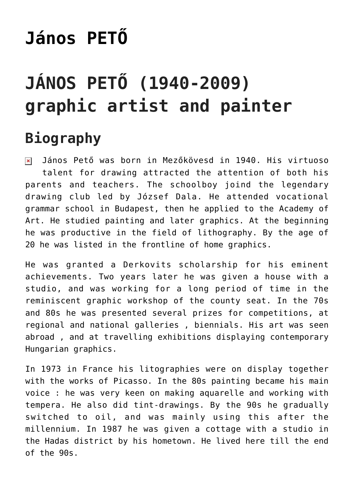# **[János PETŐ](https://matyovk.hu/en/local-history/artists/janos-peto/)**

## **JÁNOS PETŐ (1940-2009) graphic artist and painter**

## **Biography**

János Pető was born in Mezőkövesd in 1940. His virtuoso talent for drawing attracted the attention of both his parents and teachers. The schoolboy joind the legendary drawing club led by József Dala. He attended vocational grammar school in Budapest, then he applied to the Academy of Art. He studied painting and later graphics. At the beginning he was productive in the field of lithography. By the age of 20 he was listed in the frontline of home graphics.

He was granted a Derkovits scholarship for his eminent achievements. Two years later he was given a house with a studio, and was working for a long period of time in the reminiscent graphic workshop of the county seat. In the 70s and 80s he was presented several prizes for competitions, at regional and national galleries , biennials. His art was seen abroad , and at travelling exhibitions displaying contemporary Hungarian graphics.

In 1973 in France his litographies were on display together with the works of Picasso. In the 80s painting became his main voice : he was very keen on making aquarelle and working with tempera. He also did tint-drawings. By the 90s he gradually switched to oil, and was mainly using this after the millennium. In 1987 he was given a cottage with a studio in the Hadas district by his hometown. He lived here till the end of the 90s.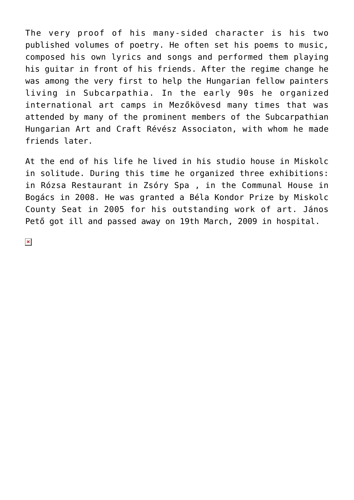The very proof of his many-sided character is his two published volumes of poetry. He often set his poems to music, composed his own lyrics and songs and performed them playing his guitar in front of his friends. After the regime change he was among the very first to help the Hungarian fellow painters living in Subcarpathia. In the early 90s he organized international art camps in Mezőkövesd many times that was attended by many of the prominent members of the Subcarpathian Hungarian Art and Craft Révész Associaton, with whom he made friends later.

At the end of his life he lived in his studio house in Miskolc in solitude. During this time he organized three exhibitions: in Rózsa Restaurant in Zsóry Spa , in the Communal House in Bogács in 2008. He was granted a Béla Kondor Prize by Miskolc County Seat in 2005 for his outstanding work of art. János Pető got ill and passed away on 19th March, 2009 in hospital.

 $\pmb{\times}$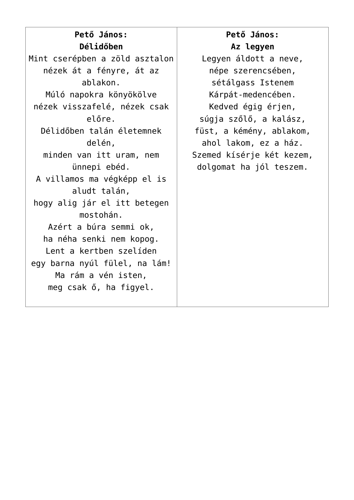**Pető János: Délidőben** Mint cserépben a zöld asztalon nézek át a fényre, át az ablakon. Múló napokra könyökölve nézek visszafelé, nézek csak előre. Délidőben talán életemnek delén, minden van itt uram, nem ünnepi ebéd. A villamos ma végképp el is aludt talán, hogy alig jár el itt betegen mostohán. Azért a búra semmi ok, ha néha senki nem kopog. Lent a kertben szelíden egy barna nyúl fülel, na lám! Ma rám a vén isten, meg csak ő, ha figyel.

#### **Pető János: Az legyen**

Legyen áldott a neve, népe szerencsében, sétálgass Istenem Kárpát-medencében. Kedved égig érjen, súgja szőlő, a kalász, füst, a kémény, ablakom, ahol lakom, ez a ház. Szemed kísérje két kezem, dolgomat ha jól teszem.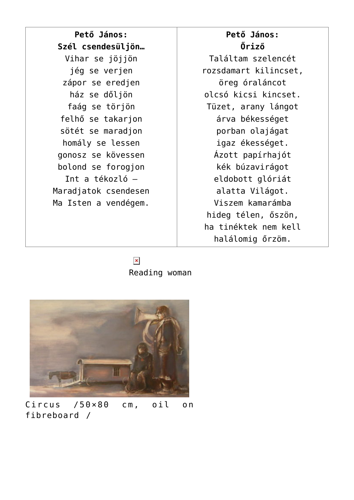**Pető János: Szél csendesüljön…** Vihar se jöjjön jég se verjen zápor se eredjen ház se dőljön faág se törjön felhő se takarjon sötét se maradjon homály se lessen gonosz se kövessen bolond se forogjon Int a tékozló – Maradjatok csendesen Ma Isten a vendégem.

### **Pető János: Őriző**

Találtam szelencét rozsdamart kilincset, öreg óraláncot olcsó kicsi kincset. Tüzet, arany lángot árva békességet porban olajágat igaz ékességet. Ázott papírhajót kék búzavirágot eldobott glóriát alatta Világot. Viszem kamarámba hideg télen, őszön, ha tinéktek nem kell halálomig őrzöm.

 $\pmb{\times}$ Reading woman



Circus /50×80 cm, oil on fibreboard /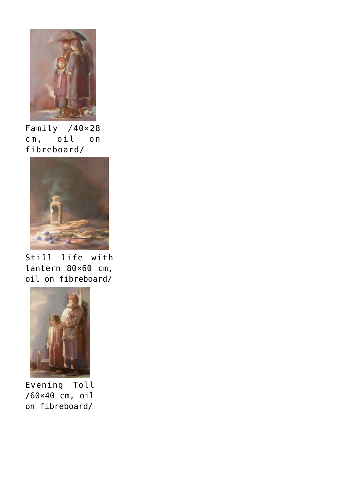

Family /40×28 cm, oil on fibreboard/



Still life with lantern 80×60 cm, oil on fibreboard/



Evening Toll /60×40 cm, oil on fibreboard/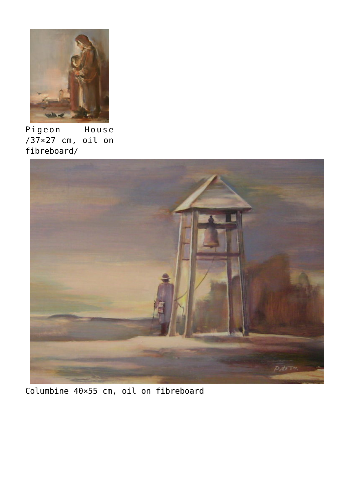

Pigeon House /37×27 cm, oil on fibreboard/



Columbine 40×55 cm, oil on fibreboard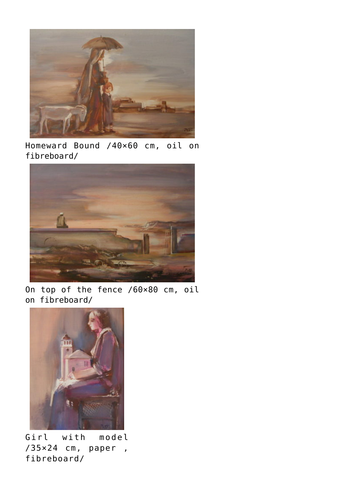

Homeward Bound /40×60 cm, oil on fibreboard/



On top of the fence /60×80 cm, oil on fibreboard/



Girl with model /35×24 cm, paper , fibreboard/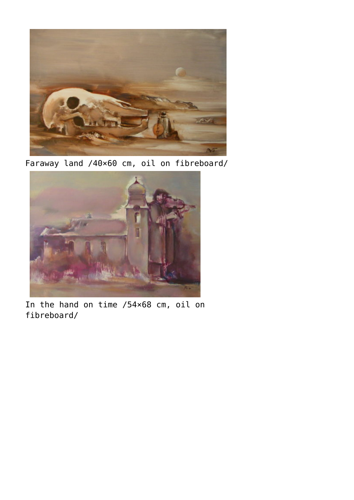

Faraway land /40×60 cm, oil on fibreboard/



In the hand on time /54×68 cm, oil on fibreboard/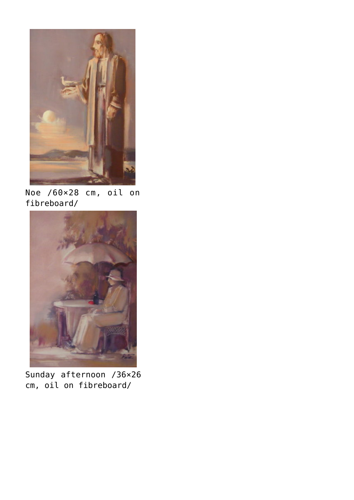

Noe /60×28 cm, oil on fibreboard/



Sunday afternoon /36×26 cm, oil on fibreboard/